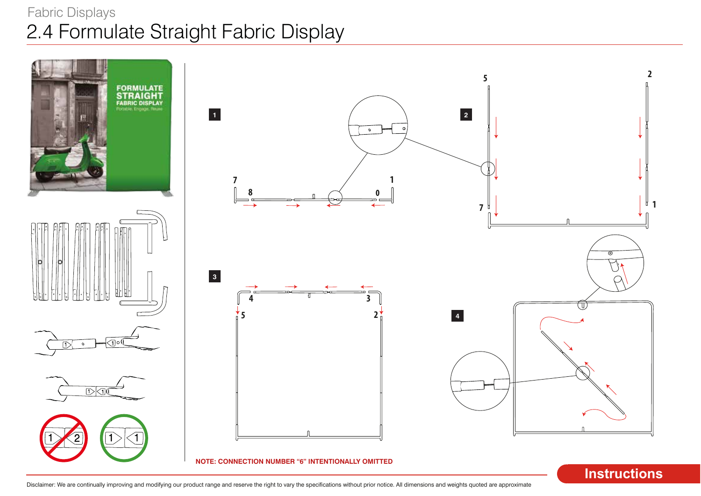# 2.4 Formulate Straight Fabric Display Fabric Displays

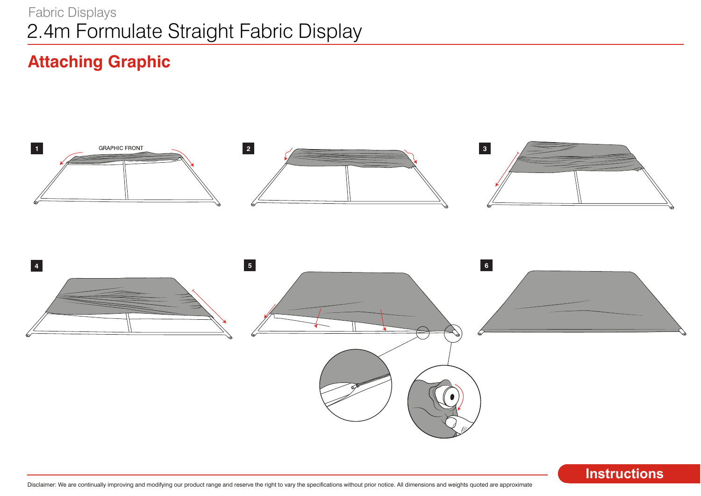# 2.4m Formulate Straight Fabric Display Fabric Displays

# **Attaching Graphic**

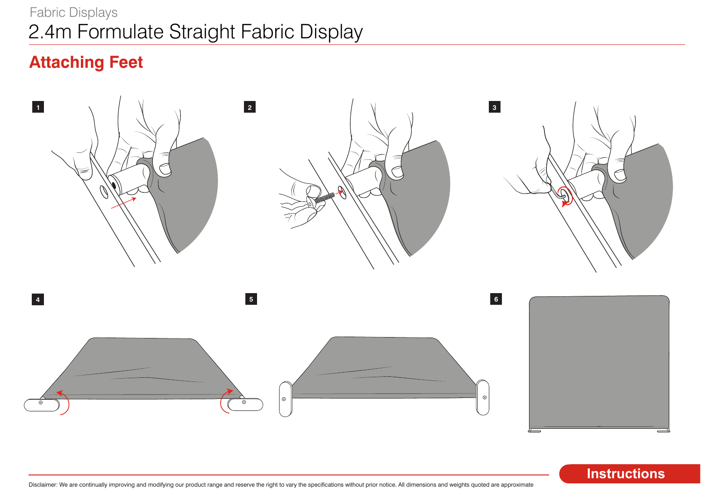# 2.4m Formulate Straight Fabric Display Fabric Displays

# **Attaching Feet**



**Instructions**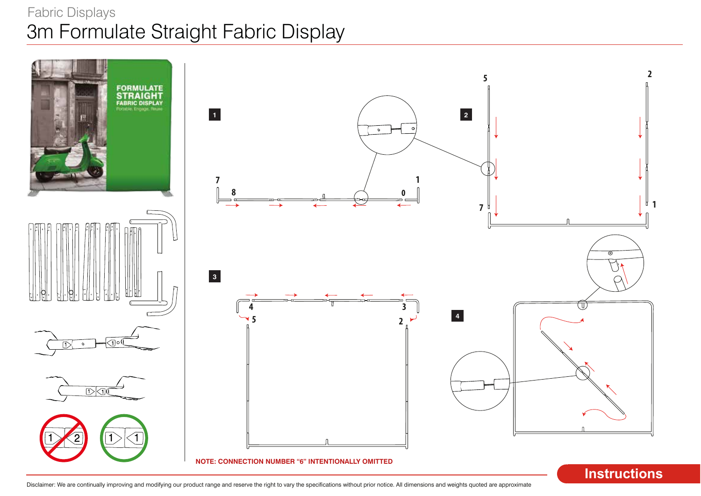# 3m Formulate Straight Fabric Display Fabric Displays

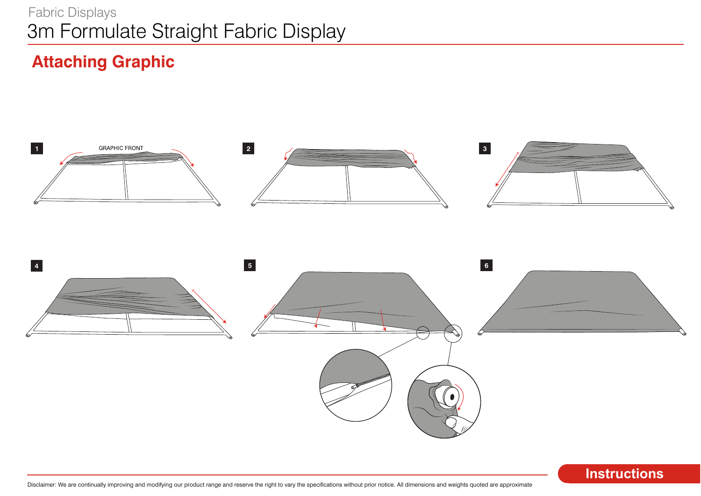# 3m Formulate Straight Fabric Display Fabric Displays

# **Attaching Graphic**